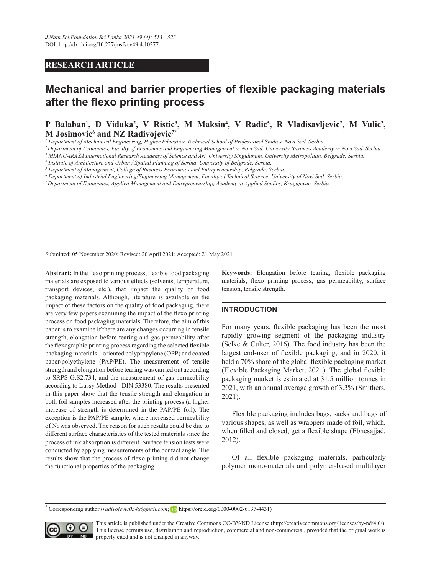## **RESEARCH ARTICLE**

# **Mechanical and barrier properties of flexible packaging materials after the flexo printing process**

# **P** Balaban<sup>1</sup>, D Viduka<sup>2</sup>, V Ristic<sup>3</sup>, M Maksin<sup>4</sup>, V Radic<sup>5</sup>, R Vladisavljevic<sup>2</sup>, M Vulic<sup>2</sup>, **M Josimovic6 and NZ Radivojevic7\***

*1 Department of Mechanical Engineering, Higher Education Technical School of Professional Studies, Novi Sad, Serbia.*

*2 Department of Economics, Faculty of Economics and Engineering Management in Novi Sad, University Business Academy in Novi Sad, Serbia.*

*3 MIANU-IRASA International Research Academy of Science and Art, University Singidunum, University Metropolitan, Belgrade, Serbia.*

*4 Institute of Architecture and Urban / Spatial Planning of Serbia, University of Belgrade, Serbia.*

*5 Department of Management, College of Business Economics and Entrepreneurship, Belgrade, Serbia.* 

*6 Department of Industrial Engineering/Engineering Management, Faculty of Technical Science, University of Novi Sad, Serbia.*

*7 Department of Economics, Applied Management and Entrepreneurship, Academy at Applied Studies, Kragujevac, Serbia.* 

Submitted: 05 November 2020; Revised: 20 April 2021; Accepted: 21 May 2021

**Abstract:** In the flexo printing process, flexible food packaging materials are exposed to various effects (solvents, temperature, transport devices, etc.), that impact the quality of food packaging materials. Although, literature is available on the impact of these factors on the quality of food packaging, there are very few papers examining the impact of the flexo printing process on food packaging materials. Therefore, the aim of this paper is to examine if there are any changes occurring in tensile strength, elongation before tearing and gas permeability after the flexographic printing process regarding the selected flexible packaging materials – oriented polypropylene (OPP) and coated paper/polyethylene (PAP/PE). The measurement of tensile strength and elongation before tearing was carried out according to SRPS G.S2.734, and the measurement of gas permeability according to Lussy Method - DIN 53380. The results presented in this paper show that the tensile strength and elongation in both foil samples increased after the printing process (a higher increase of strength is determined in the PAP/PE foil). The exception is the PAP/PE sample, where increased permeability of N2 was observed. The reason for such results could be due to different surface characteristics of the tested materials since the process of ink absorption is different. Surface tension tests were conducted by applying measurements of the contact angle. The results show that the process of flexo printing did not change the functional properties of the packaging.

**Keywords:** Elongation before tearing, flexible packaging materials, flexo printing process, gas permeability, surface tension, tensile strength.

### **INTRODUCTION**

For many years, flexible packaging has been the most rapidly growing segment of the packaging industry (Selke & Culter, 2016). The food industry has been the largest end-user of flexible packaging, and in 2020, it held a 70% share of the global flexible packaging market (Flexible Packaging Market, 2021). The global flexible packaging market is estimated at 31.5 million tonnes in 2021, with an annual average growth of 3.3% (Smithers, 2021).

Flexible packaging includes bags, sacks and bags of various shapes, as well as wrappers made of foil, which, when filled and closed, get a flexible shape (Ebnesajjad, 2012).

Of all flexible packaging materials, particularly polymer mono-materials and polymer-based multilayer

**\*** Corresponding author (*radivojevic034@gmail.com*; https://orcid.org/0000-0002-6137-4431)



This article is published under the Creative Commons CC-BY-ND License (http://creativecommons.org/licenses/by-nd/4.0/). This license permits use, distribution and reproduction, commercial and non-commercial, provided that the original work is properly cited and is not changed in anyway.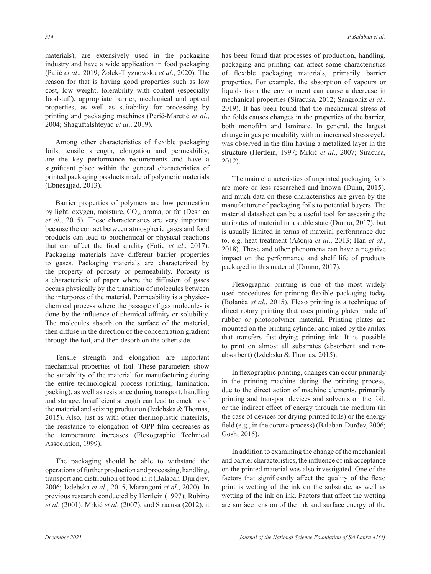materials), are extensively used in the packaging industry and have a wide application in food packaging (Palić *et al*., 2019; Żołek-Tryznowska *et al*., 2020). The reason for that is having good properties such as low cost, low weight, tolerability with content (especially foodstuff), appropriate barrier, mechanical and optical properties, as well as suitability for processing by printing and packaging machines (Perić-Maretić *et al*., 2004; ShaguftaIshteyaq *et al*., 2019).

Among other characteristics of flexible packaging foils, tensile strength, elongation and permeability, are the key performance requirements and have a significant place within the general characteristics of printed packaging products made of polymeric materials (Ebnesajjad, 2013).

Barrier properties of polymers are low permeation by light, oxygen, moisture, CO<sub>2</sub>, aroma, or fat (Desnica *et al*., 2015). These characteristics are very important because the contact between atmospheric gases and food products can lead to biochemical or physical reactions that can affect the food quality (Fotie *et al*., 2017). Packaging materials have different barrier properties to gases. Packaging materials are characterized by the property of porosity or permeability. Porosity is a characteristic of paper where the diffusion of gases occurs physically by the transition of molecules between the interpores of the material. Permeability is a physicochemical process where the passage of gas molecules is done by the influence of chemical affinity or solubility. The molecules absorb on the surface of the material, then diffuse in the direction of the concentration gradient through the foil, and then desorb on the other side.

Tensile strength and elongation are important mechanical properties of foil. These parameters show the suitability of the material for manufacturing during the entire technological process (printing, lamination, packing), as well as resistance during transport, handling and storage. Insufficient strength can lead to cracking of the material and seizing production (Izdebska & Thomas, 2015). Also, just as with other thermoplastic materials, the resistance to elongation of OPP film decreases as the temperature increases (Flexographic Technical Association, 1999).

The packaging should be able to withstand the operations of further production and processing, handling, transport and distribution of food in it (Balaban-Djurdjev, 2006; Izdebska *et al*., 2015, Marangoni *et al*., 2020). In previous research conducted by Hertlein (1997); Rubino *et al*. (2001); Mrkić *et al*. (2007), and Siracusa (2012), it has been found that processes of production, handling, packaging and printing can affect some characteristics of flexible packaging materials, primarily barrier properties. For example, the absorption of vapours or liquids from the environment can cause a decrease in mechanical properties (Siracusa, 2012; Sangroniz *et al*., 2019). It has been found that the mechanical stress of the folds causes changes in the properties of the barrier, both monofilm and laminate. In general, the largest change in gas permeability with an increased stress cycle was observed in the film having a metalized layer in the structure (Hertlein, 1997; Mrkić *et al*., 2007; Siracusa, 2012).

The main characteristics of unprinted packaging foils are more or less researched and known (Dunn, 2015), and much data on these characteristics are given by the manufacturer of packaging foils to potential buyers. The material datasheet can be a useful tool for assessing the attributes of material in a stable state (Dunno, 2017), but is usually limited in terms of material performance due to, e.g. heat treatment (Ašonja *et al*., 2013; Han *et al*., 2018). These and other phenomena can have a negative impact on the performance and shelf life of products packaged in this material (Dunno, 2017).

Flexographic printing is one of the most widely used procedures for printing flexible packaging today (Bolanča *et al*., 2015). Flexo printing is a technique of direct rotary printing that uses printing plates made of rubber or photopolymer material. Printing plates are mounted on the printing cylinder and inked by the anilox that transfers fast-drying printing ink. It is possible to print on almost all substrates (absorbent and nonabsorbent) (Izdebska & Thomas, 2015).

In flexographic printing, changes can occur primarily in the printing machine during the printing process, due to the direct action of machine elements, primarily printing and transport devices and solvents on the foil, or the indirect effect of energy through the medium (in the case of devices for drying printed foils) or the energy field (e.g., in the corona process) (Balaban-Đurđev, 2006; Gosh, 2015).

In addition to examining the change of the mechanical and barrier characteristics, the influence of ink acceptance on the printed material was also investigated. One of the factors that significantly affect the quality of the flexo print is wetting of the ink on the substrate, as well as wetting of the ink on ink. Factors that affect the wetting are surface tension of the ink and surface energy of the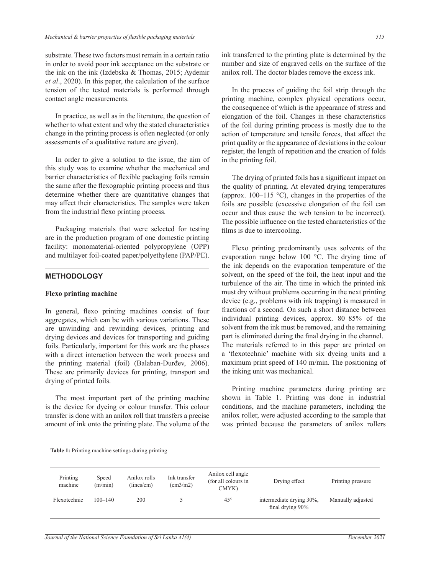substrate. These two factors must remain in a certain ratio in order to avoid poor ink acceptance on the substrate or the ink on the ink (Izdebska & Thomas, 2015; Aydemir *et al*., 2020). In this paper, the calculation of the surface tension of the tested materials is performed through contact angle measurements.

In practice, as well as in the literature, the question of whether to what extent and why the stated characteristics change in the printing process is often neglected (or only assessments of a qualitative nature are given).

In order to give a solution to the issue, the aim of this study was to examine whether the mechanical and barrier characteristics of flexible packaging foils remain the same after the flexographic printing process and thus determine whether there are quantitative changes that may affect their characteristics. The samples were taken from the industrial flexo printing process.

Packaging materials that were selected for testing are in the production program of one domestic printing facility: monomaterial-oriented polypropylene (OPP) and multilayer foil-coated paper/polyethylene (PAP/PE).

### **METHODOLOGY**

### **Flexo printing machine**

In general, flexo printing machines consist of four aggregates, which can be with various variations. These are unwinding and rewinding devices, printing and drying devices and devices for transporting and guiding foils. Particularly, important for this work are the phases with a direct interaction between the work process and the printing material (foil) (Balaban-Đurđev, 2006). These are primarily devices for printing, transport and drying of printed foils.

The most important part of the printing machine is the device for dyeing or colour transfer. This colour transfer is done with an anilox roll that transfers a precise amount of ink onto the printing plate. The volume of the ink transferred to the printing plate is determined by the number and size of engraved cells on the surface of the anilox roll. The doctor blades remove the excess ink.

In the process of guiding the foil strip through the printing machine, complex physical operations occur, the consequence of which is the appearance of stress and elongation of the foil. Changes in these characteristics of the foil during printing process is mostly due to the action of temperature and tensile forces, that affect the print quality or the appearance of deviations in the colour register, the length of repetition and the creation of folds in the printing foil.

The drying of printed foils has a significant impact on the quality of printing. At elevated drying temperatures (approx. 100–115 °C), changes in the properties of the foils are possible (excessive elongation of the foil can occur and thus cause the web tension to be incorrect). The possible influence on the tested characteristics of the films is due to intercooling.

Flexo printing predominantly uses solvents of the evaporation range below 100 °C. The drying time of the ink depends on the evaporation temperature of the solvent, on the speed of the foil, the heat input and the turbulence of the air. The time in which the printed ink must dry without problems occurring in the next printing device (e.g., problems with ink trapping) is measured in fractions of a second. On such a short distance between individual printing devices, approx. 80–85% of the solvent from the ink must be removed, and the remaining part is eliminated during the final drying in the channel. The materials referred to in this paper are printed on a 'flexotechnic' machine with six dyeing units and a maximum print speed of 140 m/min. The positioning of the inking unit was mechanical.

Printing machine parameters during printing are shown in Table 1. Printing was done in industrial conditions, and the machine parameters, including the anilox roller, were adjusted according to the sample that was printed because the parameters of anilox rollers

**Table 1:** Printing machine settings during printing

| Printing<br>machine | Speed<br>(m/min) | Anilox rolls<br>(lines/cm) | Ink transfer<br>$\text{(cm3/m2)}$ | Anilox cell angle<br>(for all colours in<br>CMYK) | Drying effect                                | Printing pressure |
|---------------------|------------------|----------------------------|-----------------------------------|---------------------------------------------------|----------------------------------------------|-------------------|
| Flexotechnic        | $100 - 140$      | 200                        |                                   | $45^{\circ}$                                      | intermediate drying 30%,<br>final drying 90% | Manually adjusted |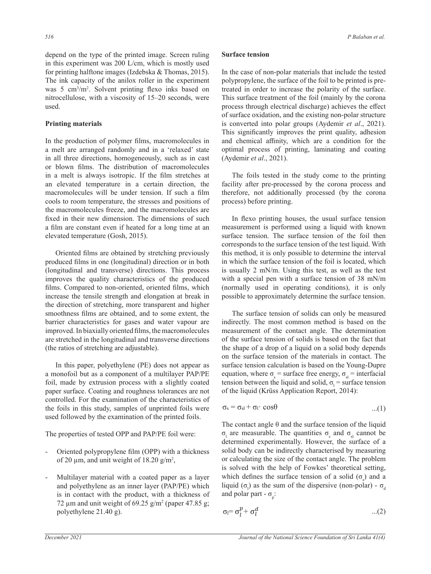depend on the type of the printed image. Screen ruling in this experiment was 200 L/cm, which is mostly used for printing halftone images (Izdebska & Thomas, 2015). The ink capacity of the anilox roller in the experiment was 5 cm3 /m2 . Solvent printing flexo inks based on nitrocellulose, with a viscosity of 15–20 seconds, were used.

### **Printing materials**

In the production of polymer films, macromolecules in a melt are arranged randomly and in a 'relaxed' state in all three directions, homogeneously, such as in cast or blown films. The distribution of macromolecules in a melt is always isotropic. If the film stretches at an elevated temperature in a certain direction, the macromolecules will be under tension. If such a film cools to room temperature, the stresses and positions of the macromolecules freeze, and the macromolecules are fixed in their new dimension. The dimensions of such a film are constant even if heated for a long time at an elevated temperature (Gosh, 2015).

Oriented films are obtained by stretching previously produced films in one (longitudinal) direction or in both (longitudinal and transverse) directions. This process improves the quality characteristics of the produced films. Compared to non-oriented, oriented films, which increase the tensile strength and elongation at break in the direction of stretching, more transparent and higher smoothness films are obtained, and to some extent, the barrier characteristics for gases and water vapour are improved. In biaxially oriented films, the macromolecules are stretched in the longitudinal and transverse directions (the ratios of stretching are adjustable).

In this paper, polyethylene (PE) does not appear as a monofoil but as a component of a multilayer PAP/PE foil, made by extrusion process with a slightly coated paper surface. Coating and roughness tolerances are not controlled. For the examination of the characteristics of the foils in this study, samples of unprinted foils were used followed by the examination of the printed foils.

The properties of tested OPP and PAP/PE foil were:

- Oriented polypropylene film (OPP) with a thickness of 20  $\mu$ m, and unit weight of 18.20 g/m<sup>2</sup>,
- Multilayer material with a coated paper as a layer and polyethylene as an inner layer (PAP/PE) which is in contact with the product, with a thickness of 72  $\mu$ m and unit weight of 69.25 g/m<sup>2</sup> (paper 47.85 g; polyethylene 21.40 g).

### **Surface tension**

In the case of non-polar materials that include the tested polypropylene, the surface of the foil to be printed is pretreated in order to increase the polarity of the surface. This surface treatment of the foil (mainly by the corona process through electrical discharge) achieves the effect of surface oxidation, and the existing non-polar structure is converted into polar groups (Aydemir *et al*., 2021). This significantly improves the print quality, adhesion and chemical affinity, which are a condition for the optimal process of printing, laminating and coating (Aydemir *et al*., 2021).

The foils tested in the study come to the printing facility after pre-processed by the corona process and proves the provestor of proves the proves the principal term of proves the print quality,  $\frac{1}{2}$  and  $\frac{1}{2}$ therefore, not additionally processed (by the corona process) before printing. structure is converted in the polar groups (and printing the coron in the printing the print  $\alpha$ ). The print  $\alpha$ (Aydemir *et al*., 2021).

In flexo printing houses, the usual surface tension measurement is performed using a liquid with known surface tension. The surface tension of the foil then corresponds to the surface tension of the test liquid. With this method, it is only possible to determine the interval  $\mathbf{r}$ in which the surface tension of the foil is located, which is usually 2 mN/m. Using this test, as well as the test with a special pen with a surface tension of 38 mN/m  $t_{\text{total}}$  a special peri-with a surface tension of 56 min. possible to approximately determine the surface tension. If the study printing flowses, the usual surface tension  $\frac{1}{\sqrt{1-\frac{1}{\sqrt{1-\frac{1}{\sqrt{1-\frac{1}{\sqrt{1-\frac{1}{\sqrt{1-\frac{1}{\sqrt{1-\frac{1}{\sqrt{1-\frac{1}{\sqrt{1-\frac{1}{\sqrt{1-\frac{1}{\sqrt{1-\frac{1}{\sqrt{1-\frac{1}{\sqrt{1-\frac{1}{\sqrt{1-\frac{1}{\sqrt{1-\frac{1}{\sqrt{1-\frac{1}{\sqrt{1-\frac{1}{\sqrt{1-\frac{1}{\sqrt{1-\frac{1}{\sqrt{1-\frac{1}{\sqrt{1-\frac{1}{\sqrt{1-\frac{1}{\sqrt{1-\frac{1}{\sqrt{1-\frac{1}{\sqrt{1-\frac{1$ normally used in operating conditions), it is only  $\frac{1}{\sqrt{1-\frac{1}{n}}}$ 

The surface tension of solids can only be measured indirectly. The most common method is based on the measurement of the contact angle. The determination of the surface tension of solids is based on the fact that the shape of a drop of a liquid on a solid body depends on the surface tension of the materials in contact. The the shape of a drop of a liquid on a solid body depends on the surface tension of the materials in contact. The surface tension calculation is based on the Young-Dupre equation, where  $\sigma_s$  = surface free energy,  $\sigma_{sl}$  = interfacial  $\sigma_{\text{g}}$  interfacial tension between the liquid and solid,  $\sigma_{\text{l}}$  = surface tension of the liquid (Krüss Application Report, 2014): 2014): The surface tension of solids can only be measured in the most common method is based on the on the surface tension of the materials in contact. The  $\frac{1}{2}$ 21191011 (<br>2f the lig

$$
\sigma_s = \sigma_{sl} + \sigma_l \cdot \cos\theta \qquad \qquad \dots (1)
$$

σ<sub>l</sub> are measurable. The quantities σ<sub>s</sub> and σ<sub>sl</sub> cannot be solid body can be indirectly characterised by measuring or calculating the size of the contact angle. The problem which defines the surface tension of a solid ( $\sigma_s$ ) and a liquid  $(\sigma_i)$  as the sum of the dispersive (non-polar) -  $\sigma_d$ The contact angle θ and the surface tension of the liquid  $\sigma$  are measurable. The quantities  $\sigma$  and  $\sigma$  cannot be determined experimentally. However, the surface of a is solved with the help of Fowkes' theoretical setting, and polar part -  $\sigma_{p}$ :

$$
\sigma_l = \sigma_l^p + \sigma_l^d \qquad \qquad \dots (2)
$$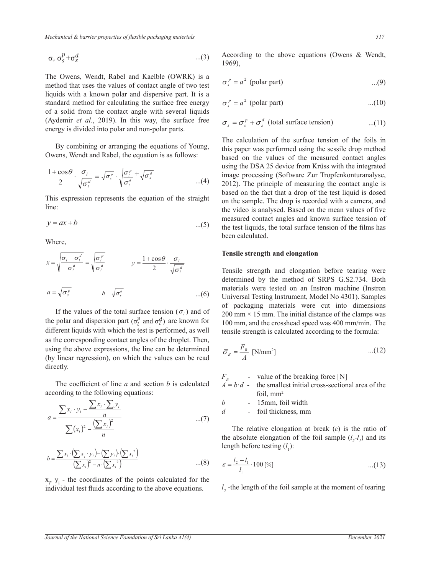*Mechanical & barrier properties of flexible packaging materials <i>simulation simulation 517* 

$$
\sigma_{s} = \sigma_{s}^{p} + \sigma_{s}^{d} \tag{3}
$$

method that uses the values of contact angle of two test  $\sigma_s^p = a^2$  (polar part) ...(9) standard method for calculating the surface free energy  $\sigma_s^p = a^2$  (polar part) ...(10) of a solid from the contact angle with several liquids  $\frac{d}{dx}$ (Aydemir *et al.*, 2019). In this way, the surfarenergy is divided into polar and non-polar parts. The Owens, Wendt, Rabel and Kaelble (OWRK) is a  $\sigma^p = a^2$  (*l* liquids with a known polar and dispersive part. It is a (Aydemir *et al.*, 2019). In this way, the surface free  $\sigma_s = \sigma_s^p + \sigma_s^d$ Aydemir *et al.*, 2019). In this way<br>energy is divided into polar and non-p

By combining or arranging the equations of Young, Owens, Wendt and Rabel, the equation is as follows: By combining or arranging the equal to  $\frac{1}{2}$ 

$$
\frac{1+\cos\theta}{2} \cdot \frac{\sigma_l}{\sqrt{\sigma_l^d}} = \sqrt{\sigma_s^p} \cdot \sqrt{\frac{\sigma_l^p}{\sigma_l^d}} + \sqrt{\sigma_s^d}
$$

This expression represents the equation of the straight  $\theta$  on t line:  $T_{\text{max}}$ *y* expression represents the eq This expression represents the expression represents the straight lines:  $\Gamma$ 

$$
y = ax + b
$$
   
the t  
been

 $W$ here,

$$
x = \sqrt{\frac{\sigma_i - \sigma_i^d}{\sigma_i^d}} = \sqrt{\frac{\sigma_i^p}{\sigma_i^d}}
$$
  
\n
$$
y = \frac{1 + \cos \theta}{2} \cdot \frac{\sigma_i}{\sqrt{\sigma_i^d}}
$$
  
\nTensile strength and elongation  
\ndetermined by the method of SRPS G.S2.734. Both  
\nmaterials were tested on an Instron machine (Instron  
\nUniversity of the method of SNPS G.S2.734.

If the values of the total surface tension  $(\sigma_l)$  and of packaging materials were cut<br>the polar and disparsion part  $(\sigma_l^p)$  and  $\sigma_l^d$  are known for  $\sigma_l^e$  and  $\sigma_l^d$  are known for  $\sigma_l^e$ mc ic<br>t angl: using the above expressions, the line can be determined  $\overline{\sigma}_B = \frac{F_B}{A}$  [N/mm<sup>2</sup>] ...(12)<br>(by linear regression), on which the values can be read  $\overline{\sigma}_B = \frac{F_B}{A}$  [N/mm<sup>2</sup>] as the corresponding contact angles of the droplet. Then,<br>using the above expressions the line can be determined<br> $F_n$  (12) as the corresponding contact angles of the droplet. Then,<br>using the above expressions, the line can be determined<br>(by linear regression), on which the values can be read<br> $\overline{\sigma}_B = \frac{F_B}{A}$  [N/mm<sup>2</sup>]<br>(by linear regression) directly.  $F = \text{value of the breaking force}$ The coefficient of line *a* and section *b* is calculated according to the following equations: directly. *<sup>x</sup> <sup>x</sup>*

The coefficient of line *a* and section *b* is calculated  $A = i$ according to the following equations:

$$
a = \frac{\sum x_i \cdot y_i - \frac{\sum x_i \cdot \sum y_i}{n}}{\sum (x_i)^2 - \frac{(\sum x_i)^2}{n}}
$$
\n
$$
= \sum (x_i)^2 - \frac{(\sum x_i)^2}{n}
$$
\n
$$
= \sum (x_i)^2 - \frac{(\sum x_i)^2}{n}
$$
\n
$$
= \sum (x_i)^2 - \frac{(\sum x_i)^2}{n}
$$
\n
$$
= \sum (x_i)^2 - \frac{(\sum x_i)^2}{n}
$$
\n
$$
= \sum (x_i)^2 - \frac{(\sum x_i)^2}{n}
$$
\n
$$
= \sum (x_i)^2 - \frac{(\sum x_i)^2}{n}
$$
\n
$$
= \sum (x_i)^2 - \frac{(\sum x_i)^2}{n}
$$
\n
$$
= \sum (x_i)^2 - \frac{(\sum x_i)^2}{n}
$$
\n
$$
= \sum (x_i)^2 - \frac{(\sum x_i)^2}{n}
$$
\n
$$
= \sum (x_i)^2 - \frac{(\sum x_i)^2}{n}
$$
\n
$$
= \sum (x_i)^2 - \frac{(\sum x_i)^2}{n}
$$
\n
$$
= \sum (x_i)^2 - \frac{(\sum x_i)^2}{n}
$$
\n
$$
= \sum (x_i)^2 - \frac{(\sum x_i)^2}{n}
$$
\n
$$
= \sum (x_i)^2 - \frac{(\sum x_i)^2}{n}
$$
\n
$$
= \sum (x_i)^2 - \frac{(\sum x_i)^2}{n}
$$
\n
$$
= \sum (x_i)^2 - \frac{(\sum x_i)^2}{n}
$$
\n
$$
= \sum (x_i)^2 - \frac{(\sum x_i)^2}{n}
$$
\n
$$
= \sum (x_i)^2 - \frac{(\sum x_i)^2}{n}
$$
\n
$$
= \sum (x_i)^2 - \frac{(\sum x_i)^2}{n}
$$
\n
$$
= \sum (x_i)^2 - \frac{(\sum x_i)^2}{n}
$$
\n
$$
= \sum (x_i)^2 - \frac{(\sum x_i)^2}{n}
$$
\n
$$
= \sum (x_i)^2 - \frac{(\sum x_i)^2}{n}
$$
\n
$$
= \sum (x_i)^2 - \frac{(\sum x_i)^2}{n}
$$
\n
$$
= \sum (x_i)^2 - \frac{
$$

$$
b = \frac{\sum x_i \cdot (\sum x_i \cdot y_i) - (\sum y_i) \cdot (\sum x_i^2)}{(\sum x_i)^2 - n \cdot (\sum x_i^2)}
$$
 length before testing (*l*<sub>1</sub>):  
....(8) 
$$
\varepsilon = \frac{l_2 - l_1}{l} \cdot 100 \, [^{\circ}\text{O}] \tag{13}
$$

 $x_i$ ,  $y_i$  - the coordinates of the points calculated for the<br>individual test fluids according to the above equations  $l$  -the length of the foil sample at the moment of te individual test fluids according to the above equations.

According to the above equations (Owens & Wendt, 1969),  $1969$ ,  $1969$ ,  $1969$ ,  $1969$ ,  $1969$ ,  $1969$ 

$$
\sigma_s^p = a^2 \text{ (polar part)} \qquad \qquad \dots (9)
$$

$$
\sigma_s^p = a^2 \text{ (polar part)} \qquad \qquad \dots (10)
$$

$$
\sigma_s = \sigma_s^p + \sigma_s^d \text{ (total surface tension)} \qquad \qquad \dots (11)
$$

 $\mathbb{R}^n$  arrangement and Rabel, the equation of the surface tension of the foils in on the sample. The drop is recorded with a camera, and 2012). The principle of measuring the contact angle is this paper was performed using the sessile drop method the video is analysed. Based on the mean values of five The calculation of the surface tension of the surface tension in the integrated using the DSA 25 device from Krüss with the integrated me video is analysed. Based on the mean variate of five  $\mathbf{I}$  $\ldots$  (5) the test liquids, the total surface tension of the films has  $\overline{\sigma_s^d}$  image processing (Software Zur Tropfenkonturanalyse, If the values of the values of the polar and of the polar and dispersion part (σε το τρόποιο part (σε τρόποιο part (σε τρόποιο part (σε τρόποιο part (σε τρόποιο part (σε τρόποιο part (σε τρόποιο part (σε τρόποιο part (σε based on the fact that a drop of the test liquid is dosed based on the values of the measured contact angles been calculated.  $\sim$  video is analysed. Based on the mean values of  $\sim$  $\beta$  denote the fact that a drop of the sample. The sample is  $\alpha$ 

If the values of the bias surface tension ( $\sigma_l$ ) and of  $200 \text{ mm} \times 15 \text{ mm}$ . The initial distance of the clamps was<br>the polar and dispersion part ( $\sigma_l^p$  and  $\sigma_l^d$ ) are known for  $100 \text{ mm}$ , and the crosshead speed w  $200 \text{ mm} \times 15 \text{ mm}$ . The initial distance of the clamps was different liquids with which the test is performed, as well the single strength is calculated according to the formula:  $\frac{1}{2}$  of packaging materials were cut into dimensions **TERTIFE CONSTRON MODEL TESTING INSTRUMENT CONSTRUMENT CONSTRUMENT** CONSTRUMENT ON THE DETERMINIVERS ON A 2401 DETERMINIVERS ON SPACE OF THE UNIVERSITY OF THE UNIVERSITY OF THE UNIVERSITY OF THE UNIVERSITY OF THE UNIVERSIT Universal Testing Instrument, Model No 4301). Samples tensile strength is calculated according to the formula: 100 mm, and the crosshead speed was 400 mm/min. The determined by the include

$$
\overline{\sigma}_B = \frac{F_B}{A} \text{ [N/mm}^2 \text{]} \tag{12}
$$

 $F_B$  as which the test is performed, as well as the corresponding corresponding corresponding contact angles of the droplet.  $T$  above expressions, the can be determined (by  $\Gamma$  and which the values of the breaking force [N]  $F$  $F_B$  - value of the breaking force [N]  $F_B$  - value of the breaking force  $F_B$ 

 $\alpha$  according to the following equations: the line can be determined (by linear regression), on which the values can be determined (can be determined as  $\alpha$ ), on which the values can be determined (can be determined as The coefficient of line a and section b is calculated  $A = b \cdot d$  - the smallest initial cross-sectional area of the  $A^B = b \cdot d$  - the smallest initial cross-sectional area of the *A*  $\alpha$  -the smallest initial contract in the smallest initial contract in the foil, may be a smallest initial contract in the foil, may be a smallest initial contract in the foil, may be a smaller than  $\alpha$  and  $\alpha$  an  $A = b \cdot d$  - the smallest initial cross-sectional area of the foil,  $mm<sup>2</sup>$  $\alpha$   $\beta$  -the smallest initial contract in  $\beta$  -the foil, mm<sup>2</sup>

 $\frac{d}{dx}$  -foil the

 $\lim_{t \to \infty} \frac{\log \log \log \log \log \log (l_1)}{l_2}$ : The relative elongation at break  $(\varepsilon)$  is the ratio of The relative elongation at break  $(\varepsilon)$  is the ratio of the absolute elongation of the foil sample  $(l_2-l_1)$  and its

$$
\frac{1}{x_i^2}
$$
...(8)  $\varepsilon = \frac{l_2 - l_1}{l_1} \cdot 100\,\text{[%]}$ ...(13)  
so of the points calculated for the

 $l_1$ <br> $l_2$  -the length of the foil sample at the moment of tearing  $\frac{2}{\sqrt{2}}$  -the foil sample at the moment of teachers of the moment of teachers of teachers of teachers of teachers of teachers of teachers of teachers of teachers of teachers of teachers of teachers of teachers of teac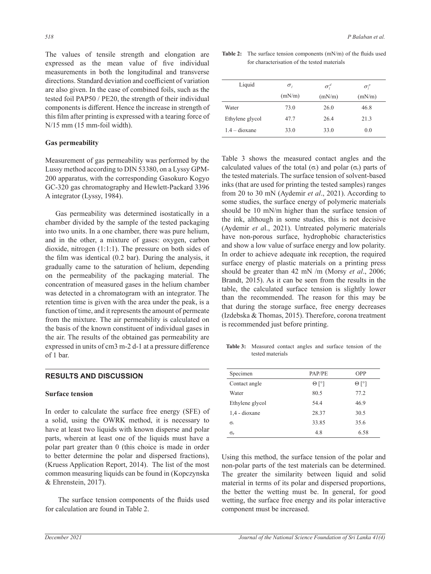The values of tensile strength and elongation are expressed as the mean value of five individual measurements in both the longitudinal and transverse directions. Standard deviation and coefficient of variation are also given. In the case of combined foils, such as the tested foil PAP50 / PE20, the strength of their individual components is different. Hence the increase in strength of this film after printing is expressed with a tearing force of N/15 mm (15 mm-foil width).

### **Gas permeability**

Measurement of gas permeability was performed by the Lussy method according to DIN 53380, on a Lyssy GPM-200 apparatus, with the corresponding Gasokuro Kogyo GC-320 gas chromatography and Hewlett-Packard 3396 A integrator (Lyssy, 1984).

Gas permeability was determined isostatically in a chamber divided by the sample of the tested packaging into two units. In a one chamber, there was pure helium, and in the other, a mixture of gases: oxygen, carbon dioxide, nitrogen (1:1:1). The pressure on both sides of the film was identical (0.2 bar). During the analysis, it gradually came to the saturation of helium, depending on the permeability of the packaging material. The concentration of measured gases in the helium chamber was detected in a chromatogram with an integrator. The retention time is given with the area under the peak, is a function of time, and it represents the amount of permeate from the mixture. The air permeability is calculated on the basis of the known constituent of individual gases in the air. The results of the obtained gas permeability are expressed in units of cm3 m-2 d-1 at a pressure difference of 1 bar.

### **RESULTS AND DISCUSSION**

### **Surface tension**

In order to calculate the surface free energy (SFE) of a solid, using the OWRK method, it is necessary to have at least two liquids with known disperse and polar parts, wherein at least one of the liquids must have a polar part greater than 0 (this choice is made in order to better determine the polar and dispersed fractions), (Kruess Application Report, 2014). The list of the most common measuring liquids can be found in (Kopczynska & Ehrenstein, 2017).

 The surface tension components of the fluids used for calculation are found in Table 2.

**Table 2:** The surface tension components  $(mN/m)$  of the fluids used  $\frac{1}{m}$  of the fluids used materials of the test of the test of materials of the fluids used value of five individual for characterisation of the tested materials

| Liquid          | $\sigma$ | $\sigma_i^d$ | $\sigma_{i}^{p}$ |  |
|-----------------|----------|--------------|------------------|--|
|                 | (mN/m)   | (mN/m)       | (mN/m)           |  |
| Water           | 73.0     | 26.0         | 46.8             |  |
| Ethylene glycol | 47.7     | 26.4         | 21.3             |  |
| $1.4 - dioxane$ | 33.0     | 33.0         | 0.0              |  |

Table 3 shows the measured contact angles and the calculated values of the total (σ<sub>0</sub>) and polar (σ<sub>0</sub>) parts of the tested materials. The surface tension of solvent-based inks (that are used for printing the tested samples) ranges from 20 to 30 mN (Aydemir *et al*., 2021). According to some studies, the surface energy of polymeric materials should be 10 mN/m higher than the surface tension of the ink, although in some studies, this is not decisive (Aydemir *et a*l., 2021). Untreated polymeric materials have non-porous surface, hydrophobic characteristics and show a low value of surface energy and low polarity. In order to achieve adequate ink reception, the required surface energy of plastic materials on a printing press should be greater than 42 mN /m (Morsy *et al*., 2006; Brandt, 2015). As it can be seen from the results in the table, the calculated surface tension is slightly lower than the recommended. The reason for this may be that during the storage surface, free energy decreases (Izdebska & Thomas, 2015). Therefore, corona treatment is recommended just before printing.

**Table 3:** Measured contact angles and surface tension of the tested materials

| Specimen         | PAP/PE       | OPP          |  |
|------------------|--------------|--------------|--|
| Contact angle    | $\Theta$ [°] | $\Theta$ [°] |  |
| Water            | 80.5         | 77.2         |  |
| Ethylene glycol  | 54.4         | 46.9         |  |
| 1,4 - dioxane    | 28.37        | 30.5         |  |
| $\sigma_{t}$     | 33.85        | 35.6         |  |
| $\sigma_{\rm p}$ | 4.8          | 6.58         |  |

Using this method, the surface tension of the polar and non-polar parts of the test materials can be determined. The greater the similarity between liquid and solid material in terms of its polar and dispersed proportions, the better the wetting must be. In general, for good wetting, the surface free energy and its polar interactive component must be increased.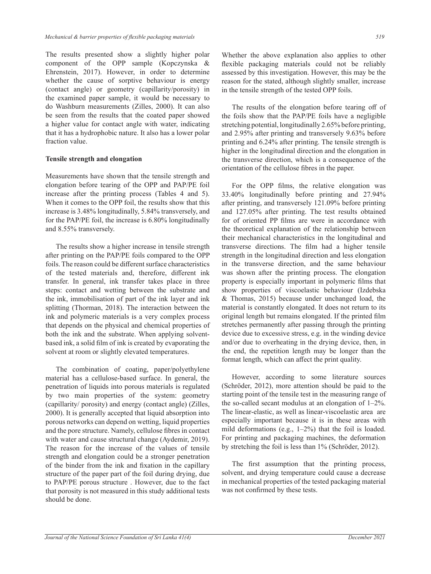The results presented show a slightly higher polar component of the OPP sample (Kopczynska & Ehrenstein, 2017). However, in order to determine whether the cause of sorptive behaviour is energy (contact angle) or geometry (capillarity/porosity) in the examined paper sample, it would be necessary to do Washburn measurements (Zilles, 2000). It can also be seen from the results that the coated paper showed a higher value for contact angle with water, indicating that it has a hydrophobic nature. It also has a lower polar fraction value.

### **Tensile strength and elongation**

Measurements have shown that the tensile strength and elongation before tearing of the OPP and PAP/PE foil increase after the printing process (Tables 4 and 5). When it comes to the OPP foil, the results show that this increase is 3.48% longitudinally, 5.84% transversely, and for the PAP/PE foil, the increase is 6.80% longitudinally and 8.55% transversely.

The results show a higher increase in tensile strength after printing on the PAP/PE foils compared to the OPP foils. The reason could be different surface characteristics of the tested materials and, therefore, different ink transfer. In general, ink transfer takes place in three steps: contact and wetting between the substrate and the ink, immobilisation of part of the ink layer and ink splitting (Thorman, 2018). The interaction between the ink and polymeric materials is a very complex process that depends on the physical and chemical properties of both the ink and the substrate. When applying solventbased ink, a solid film of ink is created by evaporating the solvent at room or slightly elevated temperatures.

The combination of coating, paper/polyethylene material has a cellulose-based surface. In general, the penetration of liquids into porous materials is regulated by two main properties of the system: geometry (capillarity/ porosity) and energy (contact angle) (Zilles, 2000). It is generally accepted that liquid absorption into porous networks can depend on wetting, liquid properties and the pore structure. Namely, cellulose fibres in contact with water and cause structural change (Aydemir, 2019). The reason for the increase of the values of tensile strength and elongation could be a stronger penetration of the binder from the ink and fixation in the capillary structure of the paper part of the foil during drying, due to PAP/PE porous structure . However, due to the fact that porosity is not measured in this study additional tests should be done.

Whether the above explanation also applies to other flexible packaging materials could not be reliably assessed by this investigation. However, this may be the reason for the stated, although slightly smaller, increase in the tensile strength of the tested OPP foils.

The results of the elongation before tearing off of the foils show that the PAP/PE foils have a negligible stretching potential, longitudinally 2.65% before printing, and 2.95% after printing and transversely 9.63% before printing and 6.24% after printing. The tensile strength is higher in the longitudinal direction and the elongation in the transverse direction, which is a consequence of the orientation of the cellulose fibres in the paper.

For the OPP films, the relative elongation was 33.40% longitudinally before printing and 27.94% after printing, and transversely 121.09% before printing and 127.05% after printing. The test results obtained for of oriented PP films are were in accordance with the theoretical explanation of the relationship between their mechanical characteristics in the longitudinal and transverse directions. The film had a higher tensile strength in the longitudinal direction and less elongation in the transverse direction, and the same behaviour was shown after the printing process. The elongation property is especially important in polymeric films that show properties of viscoelastic behaviour (Izdebska & Thomas, 2015) because under unchanged load, the material is constantly elongated. It does not return to its original length but remains elongated. If the printed film stretches permanently after passing through the printing device due to excessive stress, e.g. in the winding device and/or due to overheating in the drying device, then, in the end, the repetition length may be longer than the format length, which can affect the print quality.

However, according to some literature sources (Schröder, 2012), more attention should be paid to the starting point of the tensile test in the measuring range of the so-called secant modulus at an elongation of 1–2%. The linear-elastic, as well as linear-viscoelastic area are especially important because it is in these areas with mild deformations (e.g., 1–2%) that the foil is loaded. For printing and packaging machines, the deformation by stretching the foil is less than 1% (Schröder, 2012).

The first assumption that the printing process, solvent, and drying temperature could cause a decrease in mechanical properties of the tested packaging material was not confirmed by these tests.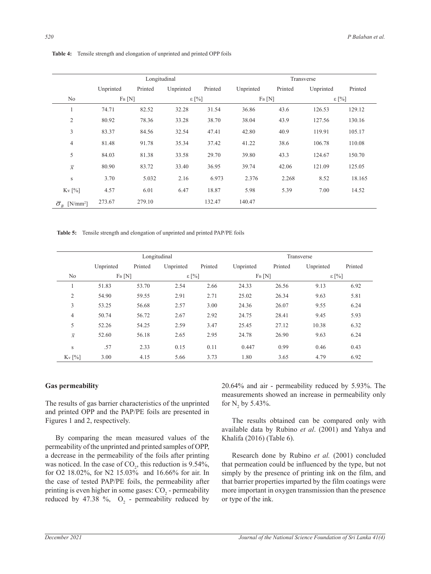|                                            |           | Longitudinal |                |         |           |         | Transverse     |         |
|--------------------------------------------|-----------|--------------|----------------|---------|-----------|---------|----------------|---------|
|                                            | Unprinted | Printed      | Unprinted      | Printed | Unprinted | Printed | Unprinted      | Printed |
| No                                         | $F_B[N]$  |              | $\epsilon$ [%] |         | $F_B[N]$  |         | $\epsilon$ [%] |         |
| 1                                          | 74.71     | 82.52        | 32.28          | 31.54   | 36.86     | 43.6    | 126.53         | 129.12  |
| $\overline{2}$                             | 80.92     | 78.36        | 33.28          | 38.70   | 38.04     | 43.9    | 127.56         | 130.16  |
| 3                                          | 83.37     | 84.56        | 32.54          | 47.41   | 42.80     | 40.9    | 119.91         | 105.17  |
| 4                                          | 81.48     | 91.78        | 35.34          | 37.42   | 41.22     | 38.6    | 106.78         | 110.08  |
| 5                                          | 84.03     | 81.38        | 33.58          | 29.70   | 39.80     | 43.3    | 124.67         | 150.70  |
| $\overline{x}$                             | 80.90     | 83.72        | 33.40          | 36.95   | 39.74     | 42.06   | 121.09         | 125.05  |
| S                                          | 3.70      | 5.032        | 2.16           | 6.973   | 2.376     | 2.268   | 8.52           | 18.165  |
| Kv [%]                                     | 4.57      | 6.01         | 6.47           | 18.87   | 5.98      | 5.39    | 7.00           | 14.52   |
| $\overline{\sigma}_R$ [N/mm <sup>2</sup> ] | 273.67    | 279.10       |                | 132.47  | 140.47    |         |                |         |

Table 4: Tensile strength and elongation of unprinted and printed OPP foils

Table 5: Tensile strength and elongation of unprinted and printed PAP/PE foils  $\mathcal{L}$  and Transverse subsequently the set of  $\mathcal{L}$ 

|                |           |         | Longitudinal   |         | Transverse |         |                |         |
|----------------|-----------|---------|----------------|---------|------------|---------|----------------|---------|
|                | Unprinted | Printed | Unprinted      | Printed | Unprinted  | Printed | Unprinted      | Printed |
| No             | $F_B[N]$  |         | $\epsilon$ [%] |         | $F_B[N]$   |         | $\epsilon$ [%] |         |
|                | 51.83     | 53.70   | 2.54           | 2.66    | 24.33      | 26.56   | 9.13           | 6.92    |
| $\overline{2}$ | 54.90     | 59.55   | 2.91           | 2.71    | 25.02      | 26.34   | 9.63           | 5.81    |
| 3              | 53.25     | 56.68   | 2.57           | 3.00    | 24.36      | 26.07   | 9.55           | 6.24    |
| 4              | 50.74     | 56.72   | 2.67           | 2.92    | 24.75      | 28.41   | 9.45           | 5.93    |
| 5              | 52.26     | 54.25   | 2.59           | 3.47    | 25.45      | 27.12   | 10.38          | 6.32    |
| $\overline{x}$ | 52.60     | 56.18   | 2.65           | 2.95    | 24.78      | 26.90   | 9.63           | 6.24    |
| S              | .57       | 2.33    | 0.15           | 0.11    | 0.447      | 0.99    | 0.46           | 0.43    |
| $K_v$ [%]      | 3.00      | 4.15    | 5.66           | 3.73    | 1.80       | 3.65    | 4.79           | 6.92    |

# **Gas permeability**

The results of gas barrier characteristics of the unprinted for  $N$ , by 5.43%. and printed OPP and the PAP/PE foils are presented in Figures 1 and 2, respectively.

By comparing the mean measured values of the Khalifa (2016) (Table 6). permeability of the unprinted and printed samples of OPP, a decrease in the permeability of the foils after printing **Same Access** Research done by Rub was noticed. In the case of  $CO_2$ , this reduction is 9.54%, that permeation could be in for O2 18.02%, for N2 15.03% and 16.66% for air. In simply by the presence of the case of tested PAP/PE foils, the permeability after that barrier properties impar printing is even higher in some gases:  $CO_2$  - permeability reduced by 47.38 %,  $O_2$  - permeability reduced by

20.64% and air - permeability reduced by 5.93%. The measurements showed an increase in permeability only for  $N_2$  by 5.43%.

1 and 2, respectively. The results obtained can be compared only with available data by Rubino *et al.* (2001) and Yahya and Khalifa (2016) (Table 6).

> Research done by Rubino et al. (2001) concluded that permeation could be influenced by the type, but not simply by the presence of printing ink on the film, and that barrier properties imparted by the film coatings were more important in oxygen transmission than the presence or type of the ink.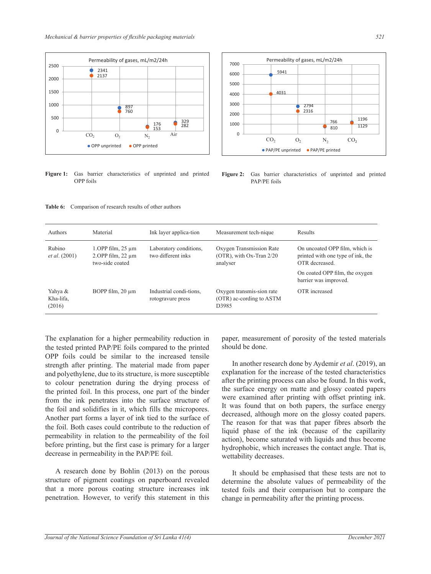

Figure 1: Gas barrier characteristics of unprinted and printed **F** OPP foils



 $1.$ OPP film,  $25 \mu m$ 2.OPP film, 22 µm two-side coated

BOPP film, 20 μm

Material

Rubino *et al.* (2001)

3000 Authors

Yahya & Kha-lifa, (2016)

the tested printed PAP/PE foils compared to the printed should be done. OPP foils could be similar to the increased tensile and polyethylene, due to its structure, is more susceptible explanation for the to colour penetration during the drying process of after the printing pr the printed foil. In this process, one part of the binder the surface energy The results of the results of the reduction of the reduction of the reduction of the reduction of the permeability in relation to the permeability of the foil action) become set The explanation for a higher permeability reduction in strength after printing. The material made from paper from the ink penetrates into the surface structure of the foil and solidifies in it, which fills the micropores. Another part forms a layer of ink tied to the surface of the foil. Both cases could contribute to the reduction of before printing, but the first case is primary for a larger decrease in permeability in the PAP/PE foil.

**Figure 2** Gas barrier characteristics of unprinted and printed PAP/PE foils

A research done by Bohlin (2013) on the porous structure of pigment coatings on paperboard revealed that a more porous coating structure increases ink penetration. However, to verify this statement in this

paper, measurement of porosity of the tested materials should be done.

In another research done by Aydemir *et al*. (2019), an explanation for the increase of the tested characteristics after the printing process can also be found. In this work, the surface energy on matte and glossy coated papers were examined after printing with offset printing ink. It was found that on both papers, the surface energy decreased, although more on the glossy coated papers. The reason for that was that paper fibres absorb the liquid phase of the ink (because of the capillarity action), become saturated with liquids and thus become hydrophobic, which increases the contact angle. That is, wettability decreases.

It should be emphasised that these tests are not to determine the absolute values of permeability of the tested foils and their comparison but to compare the change in permeability after the printing process.



ed Figure 2: Gas barrier characteristics of unprinted and printed PAP/PE foils

aboratory conditions, Oxygen Transmission Rate On uncoated OPP film, which is  $\overline{S}$ 

 $9.54$  18.02% and 16.03% and 16.03% and 16.666% for air. In the case of tested PAP/PE for air. In the permeability of tested PAP/PE for air. In the permeability of the permeability of the permeability of the permeability after printing is even higher in some gases: CO2 - permeability reduced by 47.38 %, O2 - permeability reduced

OTR decreased.

OTR increased

The results obtained can be compared only with available data by Rubino *et al*. (2001) and Yahya & Khalifa

printed with one type of ink, the

On coated OPP film, the oxygen barrier was improved.

Ink layer applica-tion Measurement tech-nique Results

analyser

D3985

Oxygen Transmission Rate (OTR), with Ox-Tran 2/20

Oxygen transmis-sion rate (OTR) ac-cording to ASTM

Laboratory conditions, two different inks

Industrial condi-tions, rotogravure press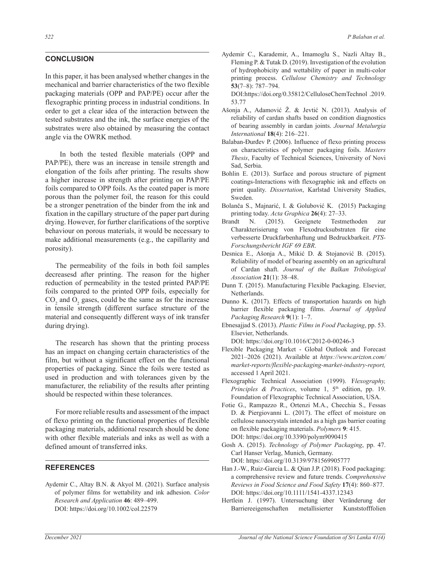### **CONCLUSION**

In this paper, it has been analysed whether changes in the mechanical and barrier characteristics of the two flexible packaging materials (OPP and PAP/PE) occur after the flexographic printing process in industrial conditions. In order to get a clear idea of the interaction between the tested substrates and the ink, the surface energies of the substrates were also obtained by measuring the contact angle via the OWRK method.

 In both the tested flexible materials (OPP and PAP/PE), there was an increase in tensile strength and elongation of the foils after printing. The results show a higher increase in strength after printing on PAP/PE foils compared to OPP foils. As the coated paper is more porous than the polymer foil, the reason for this could be a stronger penetration of the binder from the ink and fixation in the capillary structure of the paper part during drying. However, for further clarifications of the sorptive behaviour on porous materials, it would be necessary to make additional measurements (e.g., the capillarity and porosity).

The permeability of the foils in both foil samples decreasesd after printing. The reason for the higher reduction of permeability in the tested printed PAP/PE foils compared to the printed OPP foils, especially for  $CO<sub>2</sub>$  and  $O<sub>2</sub>$  gases, could be the same as for the increase in tensile strength (different surface structure of the material and consequently different ways of ink transfer during drying).

The research has shown that the printing process has an impact on changing certain characteristics of the film, but without a significant effect on the functional properties of packaging. Since the foils were tested as used in production and with tolerances given by the manufacturer, the reliability of the results after printing should be respected within these tolerances.

For more reliable results and assessment of the impact of flexo printing on the functional properties of flexible packaging materials, additional research should be done with other flexible materials and inks as well as with a defined amount of transferred inks.

### **REFERENCES**

Aydemir C., Altay B.N. & Akyol M. (2021). Surface analysis of polymer films for wettability and ink adhesion. *Color Research and Application* **46**: 489–499. DOI: https://doi.org/10.1002/col.22579

Aydemir C., Karademir, A., Imamoglu S., Nazli Altay B., Fleming P. & Tutak D. (2019). Investigation of the evolution of hydrophobicity and wettability of paper in multi-color printing process. *Cellulose Chemistry and Technology*  **53**(7–8): 787–794.

DOI:https://doi.org/0.35812/CelluloseChemTechnol .2019. 53.77

- Ašonja A., Adamović Ž. & Jevtić N. (2013). Analysis of reliability of cardan shafts based on condition diagnostics of bearing assembly in cardan joints. *Journal Metalurgia International* **18**(4): 216–221.
- Balaban-Đurđev P. (2006). Influence of flexo printing process on characteristics of polymer packaging foils. *Masters Thesis*, Faculty of Technical Sciences, University of Novi Sad, Serbia.
- Bohlin E. (2013). Surface and porous structure of pigment coatings-Interactions with flexographic ink and effects on print quality. *Dissertation*, Karlstad University Studies, Sweden.
- Bolanča S., Majnarić, I. & Golubović K. (2015) Packaging printing today. *Acta Graphica* **26**(4): 27–33.
- Brandt N. (2015). Geeignete Testmethoden zur Charakterisierung von Flexodrucksubstraten für eine verbesserte Druckfarbenhaftung und Bedruckbarkeit. *PTS-Forschungsbericht IGF 69 EBR*.
- Desnica E., Ašonja A., Mikić D. & Stojanović B. (2015). Reliability of model of bearing assembly on an agricultural of Cardan shaft. *Journal of the Balkan Tribological Association* **21**(1): 38–48.
- Dunn T. (2015). Manufacturing Flexible Packaging. Elsevier, Netherlands.
- Dunno K. (2017). Effects of transportation hazards on high barrier flexible packaging films. *Journal of Applied Packaging Research* **9**(1): 1–7.
- Ebnesajjad S. (2013). *Plastic Films in Food Packaging*, pp. 53. Elsevier, Netherlands.

DOI: https://doi.org/10.1016/C2012-0-00246-3

- Flexible Packaging Market Global Outlook and Forecast 2021–2026 (2021). Available at *https://www.arizton.com/ market-reports/flexible-packaging-market-industry-report,* accessed 1 April 2021.
- Flexographic Technical Association (1999). F*lexography, Principles & Practices*, volume 1, 5<sup>th</sup> edition, pp. 19. Foundation of Flexographic Technical Association, USA.
- Fotie G., Rampazzo R., Ortenzi M.A., Checchia S., Fessas D. & Piergiovanni L. (2017). The effect of moisture on cellulose nanocrystals intended as a high gas barrier coating on flexible packaging materials. *Polymers* **9**: 415. DOI: https://doi.org/10.3390/polym9090415
- Gosh A. (2015). *Technology of Polymer Packaging*, pp. 47. Carl Hanser Verlag, Munich, Germany. DOI: https://doi.org/10.3139/9781569905777
- Han J.-W., Ruiz‐Garcia L. & Qian J.P. (2018). Food packaging: a comprehensive review and future trends. *Comprehensive Reviews in Food Science and Food Safety* **17**(4): 860–877. DOI: https://doi.org/10.1111/1541-4337.12343
- Hertlein J. (1997). Untersuchung über Veränderung der Barriereeigenschaften metallisierter Kunststofffolien